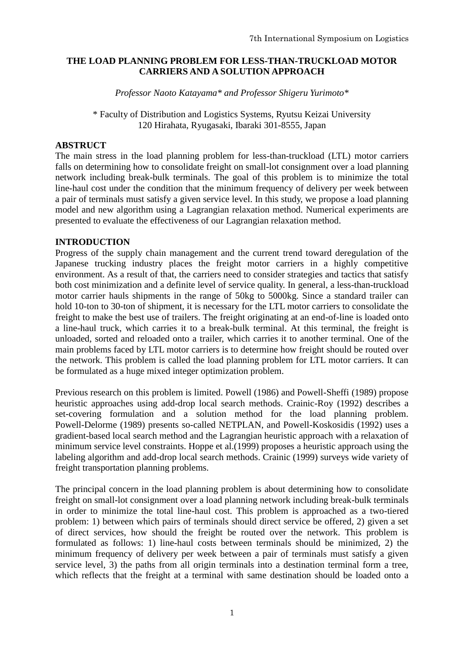## **THE LOAD PLANNING PROBLEM FOR LESS-THAN-TRUCKLOAD MOTOR CARRIERS AND A SOLUTION APPROACH**

*Professor Naoto Katayama\* and Professor Shigeru Yurimoto\**

\* Faculty of Distribution and Logistics Systems, Ryutsu Keizai University 120 Hirahata, Ryugasaki, Ibaraki 301-8555, Japan

## **ABSTRUCT**

The main stress in the load planning problem for less-than-truckload (LTL) motor carriers falls on determining how to consolidate freight on small-lot consignment over a load planning network including break-bulk terminals. The goal of this problem is to minimize the total line-haul cost under the condition that the minimum frequency of delivery per week between a pair of terminals must satisfy a given service level. In this study, we propose a load planning model and new algorithm using a Lagrangian relaxation method. Numerical experiments are presented to evaluate the effectiveness of our Lagrangian relaxation method.

### **INTRODUCTION**

Progress of the supply chain management and the current trend toward deregulation of the Japanese trucking industry places the freight motor carriers in a highly competitive environment. As a result of that, the carriers need to consider strategies and tactics that satisfy both cost minimization and a definite level of service quality. In general, a less-than-truckload motor carrier hauls shipments in the range of 50kg to 5000kg. Since a standard trailer can hold 10-ton to 30-ton of shipment, it is necessary for the LTL motor carriers to consolidate the freight to make the best use of trailers. The freight originating at an end-of-line is loaded onto a line-haul truck, which carries it to a break-bulk terminal. At this terminal, the freight is unloaded, sorted and reloaded onto a trailer, which carries it to another terminal. One of the main problems faced by LTL motor carriers is to determine how freight should be routed over the network. This problem is called the load planning problem for LTL motor carriers. It can be formulated as a huge mixed integer optimization problem.

Previous research on this problem is limited. Powell (1986) and Powell-Sheffi (1989) propose heuristic approaches using add-drop local search methods. Crainic-Roy (1992) describes a set-covering formulation and a solution method for the load planning problem. Powell-Delorme (1989) presents so-called NETPLAN, and Powell-Koskosidis (1992) uses a gradient-based local search method and the Lagrangian heuristic approach with a relaxation of minimum service level constraints. Hoppe et al.(1999) proposes a heuristic approach using the labeling algorithm and add-drop local search methods. Crainic (1999) surveys wide variety of freight transportation planning problems.

The principal concern in the load planning problem is about determining how to consolidate freight on small-lot consignment over a load planning network including break-bulk terminals in order to minimize the total line-haul cost. This problem is approached as a two-tiered problem: 1) between which pairs of terminals should direct service be offered, 2) given a set of direct services, how should the freight be routed over the network. This problem is formulated as follows: 1) line-haul costs between terminals should be minimized, 2) the minimum frequency of delivery per week between a pair of terminals must satisfy a given service level, 3) the paths from all origin terminals into a destination terminal form a tree, which reflects that the freight at a terminal with same destination should be loaded onto a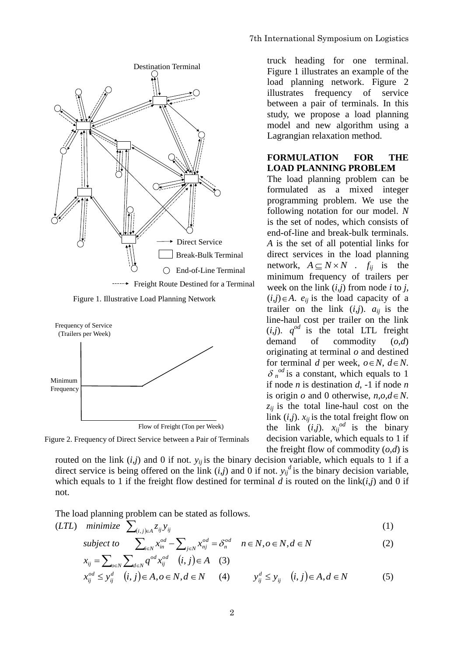

truck heading for one terminal. Figure 1 illustrates an example of the load planning network. Figure 2 illustrates frequency of service between a pair of terminals. In this study, we propose a load planning model and new algorithm using a Lagrangian relaxation method.

### **FORMULATION FOR THE LOAD PLANNING PROBLEM**

The load planning problem can be formulated as a mixed integer programming problem. We use the following notation for our model. *N*  is the set of nodes, which consists of end-of-line and break-bulk terminals. *A* is the set of all potential links for direct services in the load planning network,  $A \subseteq N \times N$  .  $f_{ij}$  is the minimum frequency of trailers per week on the link  $(i,j)$  from node *i* to *j*,  $(i,j) \in A$ .  $e_{ij}$  is the load capacity of a trailer on the link  $(i,j)$ .  $a_{ij}$  is the line-haul cost per trailer on the link  $(i,j)$ .  $q^{od}$  is the total LTL freight demand of commodity (*o*,*d*) originating at terminal *o* and destined for terminal *d* per week,  $o \in N$ ,  $d \in N$ .  $\delta_n^{\text{od}}$  is a constant, which equals to 1 if node *n* is destination *d*, -1 if node *n* is origin *o* and 0 otherwise,  $n, o, d \in N$ . *zij* is the total line-haul cost on the link  $(i,j)$ .  $x_{ij}$  is the total freight flow on the link  $(i,j)$ .  $x_{ij}^{od}$  is the binary decision variable, which equals to 1 if the freight flow of commodity  $(o,d)$  is

Figure 2. Frequency of Direct Service between a Pair of Terminals

routed on the link  $(i,j)$  and 0 if not.  $y_{ij}$  is the binary decision variable, which equals to 1 if a direct service is being offered on the link  $(i,j)$  and 0 if not.  $y_{ij}^d$  is the binary decision variable, which equals to 1 if the freight flow destined for terminal *d* is routed on the link(*i*,*j*) and 0 if not.

The load planning problem can be stated as follows.

$$
(LTL) \quad minimize \quad \sum_{(i,j)\in A} z_{ij} y_{ij} \tag{1}
$$

$$
\text{subject to} \quad \sum_{i \in N} x_{in}^{od} - \sum_{j \in N} x_{nj}^{od} = \delta_n^{od} \quad n \in N, o \in N, d \in N
$$
\n
$$
(1)
$$

$$
x_{ij} = \sum_{o \in N} \sum_{d \in N} q^{od} x_{ij}^{od} \quad (i, j) \in A \quad (3)
$$

$$
x_{ij}^{od} \le y_{ij}^d \quad (i,j) \in A, o \in N, d \in N \qquad (4) \qquad y_{ij}^d \le y_{ij} \quad (i,j) \in A, d \in N \tag{5}
$$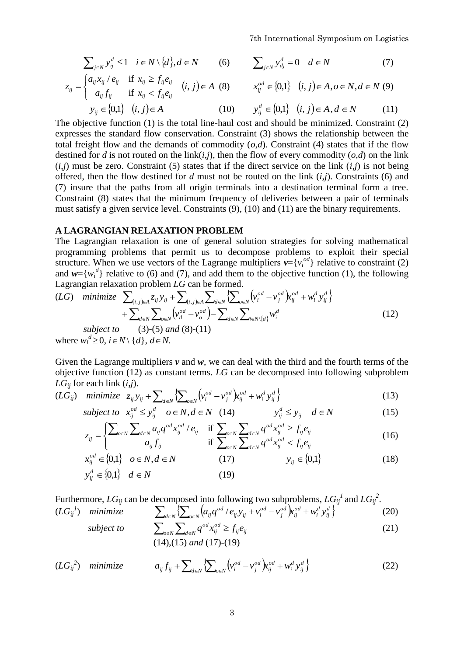$$
\sum_{j \in N} y_{ij}^d \le 1 \quad i \in N \setminus \{d\}, d \in N \quad (6) \qquad \sum_{j \in N} y_{dj}^d = 0 \quad d \in N \quad (7)
$$
\n
$$
z_{ij} = \begin{cases} a_{ij} x_{ij} / e_{ij} & \text{if } x_{ij} \ge f_{ij} e_{ij} \\ a_{ij} f_{ij} & \text{if } x_{ij} < f_{ij} e_{ij} \end{cases} \quad (i, j) \in A \quad (8) \qquad x_{ij}^{od} \in \{0, 1\} \quad (i, j) \in A, o \in N, d \in N \quad (9)
$$
\n
$$
y_{ij} \in \{0, 1\} \quad (i, j) \in A \quad (10) \qquad y_{ij}^d \in \{0, 1\} \quad (i, j) \in A, d \in N \quad (11)
$$

The objective function (1) is the total line-haul cost and should be minimized. Constraint (2) expresses the standard flow conservation. Constraint (3) shows the relationship between the total freight flow and the demands of commodity  $(o,d)$ . Constraint (4) states that if the flow destined for *d* is not routed on the link(*i*,*j*), then the flow of every commodity (*o*,*d*) on the link  $(i,j)$  must be zero. Constraint (5) states that if the direct service on the link  $(i,j)$  is not being offered, then the flow destined for *d* must not be routed on the link (*i*,*j*). Constraints (6) and (7) insure that the paths from all origin terminals into a destination terminal form a tree. Constraint (8) states that the minimum frequency of deliveries between a pair of terminals must satisfy a given service level. Constraints (9), (10) and (11) are the binary requirements.

### **A LAGRANGIAN RELAXATION PROBLEM**

The Lagrangian relaxation is one of general solution strategies for solving mathematical programming problems that permit us to decompose problems to exploit their special structure. When we use vectors of the Lagrange multipliers  $v = \{v_i^{od}\}\$  relative to constraint (2) and  $w = \{w_i^d\}$  relative to (6) and (7), and add them to the objective function (1), the following Lagrangian relaxation problem *LG* can be formed. *o d o d o d*

$$
(LG) \quad \text{minimize} \quad \sum_{(i,j)\in A} z_{ij} y_{ij} + \sum_{(i,j)\in A} \sum_{d\in N} \sum_{d\in N} \left\{ y_i^{od} - v_j^{od} \right\} x_{ij}^{od} + w_i^d y_{ij}^d \n+ \sum_{d\in N} \sum_{o\in N} \left( y_d^{od} - v_o^{od} \right) - \sum_{d\in N} \sum_{i\in N \setminus \{d\}} w_i^d
$$
\n
$$
\text{subject to} \quad (3)-(5) \text{ and } (8)-(11) \tag{12}
$$

where  $w_i^d \geq 0$ ,  $i \in N \setminus \{d\}$ ,  $d \in N$ .

Given the Lagrange multipliers  $v$  and  $w$ , we can deal with the third and the fourth terms of the objective function (12) as constant terms. *LG* can be decomposed into following subproblem  $LG_{ii}$  for each link  $(i,j)$ .

$$
LG_{ij} \text{ for each link } (i,j).
$$
  
(LG<sub>ij</sub>) minimize  $z_{ij}y_{ij} + \sum_{d \in N} \left\{ \sum_{o \in N} \left( v_i^{od} - v_j^{od} \right) x_{ij}^{od} + w_i^d y_{ij}^d \right\}$  (13)

subject to 
$$
x_{ij}^{od} \le y_{ij}^d
$$
  $o \in N, d \in N$  (14)  $y_{ij}^d \le y_{ij}$   $d \in N$  (15)  

$$
\left(\sum_{i} \sum_{j} a_{ij} q^{od} x_{ij}^{od} / e_{ij} \right) \text{ if } \sum_{i} \sum_{j} q^{od} x_{ij}^{od} \ge f_{ij} e_{ij}
$$

$$
z_{ij} = \begin{cases} \sum_{o \in N} \sum_{d \in N} a_{ij} q^{od} x_{ij}^{od} / e_{ij} & \text{if } \sum_{o \in N} \sum_{d \in N} q^{od} x_{ij}^{od} \ge f_{ij} e_{ij} \\ a_{ij} f_{ij} & \text{if } \sum_{o \in N} \sum_{d \in N} q^{od} x_{ij}^{od} < f_{ij} e_{ij} \end{cases}
$$
(16)

$$
x_{ij}^{od} \in \{0,1\} \quad o \in N, d \in N \tag{17}
$$

$$
y_{ij}^d \in \{0,1\} \quad d \in N \tag{19}
$$

Furthermore,  $LG_{ij}$  can be decomposed into following two subproblems,  $LG_{ij}^{\ 1}$  and  $LG_{ij}^{\ 2}$ .  $(LG_{ij}^{I})$  *minimize*  $\sum_{d \in N} \left\{ \sum_{o \in N} (a_{ij}q^{od}/e_{ij}y_{ij} + v_i^{od} - v_j^{od}) x_{ij}^{od} + w_i^d y_{ij}^d \right\}$ *d d* **i**ghtly **c** distribution in the *i*  $\int_{\theta \in N}^{\theta} (a_{ij}q^{\theta d}/e_{ij}y_{ij} + v_i^{\theta d} - v_j^{\theta d}) \mathbf{k}_{ij}^{\theta d} + w_i^d y_{ij}^d \}$  (20)

$$
\sum_{d \in N} \underbrace{\sum_{d \in N} \underbrace{\sum_{d \in N} \underbrace{\sum_{b \in N} q^{od} x_{ij}^{od}}}_{\sum_{d \in N} q^{od} x_{ij}^{od}} \geq f_{ij} e_{ij}} \quad \text{(21)}
$$

$$
\sum_{o \in N} \sum_{d \in N} q \cdot x_{ij} = J_{ij} e_{ij}
$$
\n(14),(15) and (17)-(19)

$$
(LG_{ij}^{2}) \quad \text{minimize} \qquad a_{ij} f_{ij} + \sum_{d \in N} \left\{ \sum_{o \in N} \left( v_i^{od} - v_j^{od} \right) x_{ij}^{od} + w_i^d y_{ij}^d \right\} \tag{22}
$$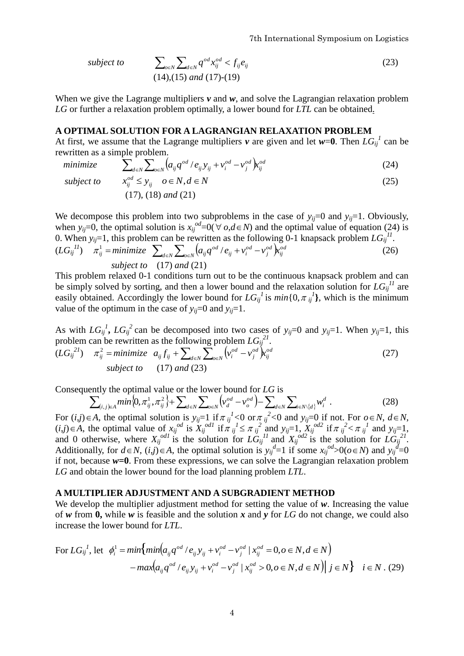7th International Symposium on Logistics

subject to 
$$
\sum_{o \in N} \sum_{d \in N} q^{od} x_{ij}^{od} < f_{ij} e_{ij} \tag{23}
$$
\n
$$
(14),(15) \text{ and } (17)-(19)
$$

When we give the Lagrange multipliers *v* and *w*, and solve the Lagrangian relaxation problem *LG* or further a relaxation problem optimally, a lower bound for *LTL* can be obtained.

#### **A OPTIMAL SOLUTION FOR A LAGRANGIAN RELAXATION PROBLEM**

At first, we assume that the Lagrange multipliers *v* are given and let  $w=0$ . Then  $LG_{ij}^{\{l\}}$  can be rewritten as a simple problem.

written as a simple problem.  
*minimize* 
$$
\sum_{d \in N} \sum_{o \in N} (a_{ij} q^{od} / e_{ij} y_{ij} + v_i^{od} - v_j^{od}) k_{ij}^{od}
$$
 (24)

*subject to*   $x_{ij}^{od} \le y_{ij}$   $o \in N, d \in N$ (25) (17), (18) *and* (21)

We decompose this problem into two subproblems in the case of  $y_{ij}=0$  and  $y_{ij}=1$ . Obviously, when  $y_{ij}=0$ , the optimal solution is  $x_{ij}^{od}=0$  ( $\forall o,d \in N$ ) and the optimal value of equation (24) is 0. When  $y_{ij}=1$ , this problem can be rewritten as the following 0-1 knapsack problem  $LG_{ij}^{\Pi}$ .  $(LG_{ij}^{11})$   $\pi_{ij}^1 = \text{minimize}$   $\sum_{d \in N} \sum_{o \in N} (a_{ij} q^{od} / e_{ij} + v_i^{od} - v_j^{od})$ *od*  $\mu_{i\in N}$   $(u_{ij}q \rightarrow e_{ij} + v_i \rightarrow v_j \rightarrow u_{ij})$ *od j od*  $_{ij}$   $\tau$   $v_i$  $a_{ij}q^{od}/e_{ij} + v_i^{od} - v_j^{od}$   $\mathbf{k}_{ij}^{od}$  (26) *subject to* (17) *and* (21)

This problem relaxed 0-1 conditions turn out to be the continuous knapsack problem and can be simply solved by sorting, and then a lower bound and the relaxation solution for  $LG_{ij}^{11}$  are easily obtained. Accordingly the lower bound for  $LG_{ij}^{1}$  is  $min\{0, \pi_{ij}^{1}\}\)$ , which is the minimum value of the optimum in the case of  $y_{ii}=0$  and  $y_{ii}=1$ .

As with  $LG_{ij}^1$ ,  $LG_{ij}^2$  can be decomposed into two cases of  $y_{ij}=0$  and  $y_{ij}=1$ . When  $y_{ij}=1$ , this problem can be rewritten as the following problem  $LG_{ij}^{2l}$ .

$$
(LG_{ij}^{21}) \quad \pi_{ij}^2 = \text{minimize} \quad a_{ij} f_{ij} + \sum_{d \in N} \sum_{o \in N} \left( v_i^{od} - v_j^{od} \right) k_{ij}^{od}
$$
\n
$$
\text{subject to} \quad (17) \text{ and } (23)
$$
\n(27)

Consequently the optimal value or the lower bound for LG is\n
$$
\sum_{(i,j)\in A} \min\{0, \pi_{ij}^1, \pi_{ij}^2\} + \sum_{d\in N} \sum_{o\in N} \left(\nu_d^{od} - \nu_o^{od}\right) - \sum_{d\in N} \sum_{i\in N\setminus\{d\}} w_i^d.
$$
\n(28)

For  $(i,j) \in A$ , the optimal solution is  $y_{ij}=1$  if  $\pi j$  if  $\langle 0 \rangle$  or  $\pi j$  if  $\langle 0 \rangle$  and  $y_{ij}=0$  if not. For  $o \in N$ ,  $d \in N$ ,  $(i,j) \in A$ , the optimal value of  $x_{ij}^{odd}$  is  $X_{ij}^{odd}$  if  $\pi_{ij}^{l} \leq \pi_{ij}^{2}$  and  $y_{ij} = 1$ ,  $X_{ij}^{odd}$  if  $\pi_{ij}^{2} < \pi_{ij}^{l}$  and  $y_{ij} = 1$ , and 0 otherwise, where  $X_{ij}^{odd}$  is the solution for  $LG_{ij}^{11}$  and  $X_{ij}^{odd}$  is the solution for  $LG_{ij}^{21}$ . Additionally, for  $d \in N$ ,  $(i, j) \in A$ , the optimal solution is  $y_{ij}^d = 1$  if some  $x_{ij}^{odd} > 0$  ( $o \in N$ ) and  $y_{ij}^d = 0$ if not, because  $w=0$ . From these expressions, we can solve the Lagrangian relaxation problem *LG* and obtain the lower bound for the load planning problem *LTL*.

#### **A MULTIPLIER ADJUSTMENT AND A SUBGRADIENT METHOD**

We develop the multiplier adjustment method for setting the value of *w*. Increasing the value of *w* from **0,** while *w* is feasible and the solution *x* and *y* for *LG* do not change, we could also increase the lower bound for *LTL*.

For 
$$
LG_{ij}^l
$$
, let  $\phi_i^1 = min \{ min(a_{ij}q^{od}/e_{ij}y_{ij} + v_i^{od} - v_j^{od} | x_{ij}^{od} = 0, o \in N, d \in N \}$   

$$
- max(a_{ij}q^{od}/e_{ij}y_{ij} + v_i^{od} - v_j^{od} | x_{ij}^{od} > 0, o \in N, d \in N) | j \in N \} \quad i \in N. (29)
$$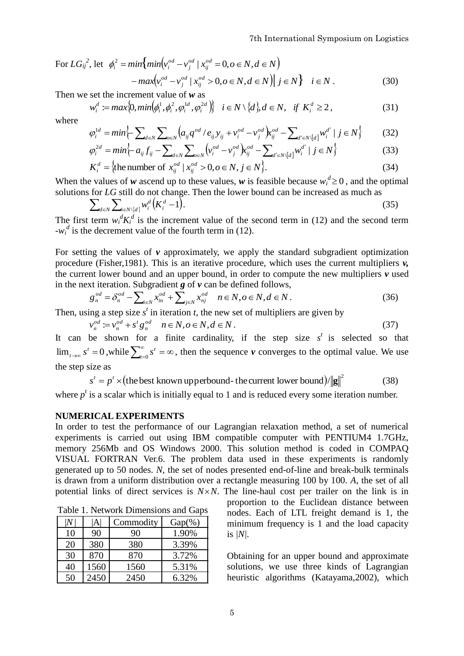For  $LG_{ij}^2$ , let  $\phi_i^2 = min \{ min \left( \psi_i^{od} - v_j^{od} \mid x_{ij}^{od} = 0, o \in N, d \in N \right) \}$ *mm*<sub>*v<sub>i</sub>*</sub>  $-v_j + x_{ij} = 0, o \in N, a \in N$ <br> *o nax* $\left(v_i^{od} - v_j^{od} \mid x_{ij}^{od} \ge 0, o \in N, d \in N\right) \mid j \in N$   $i \in N$ . (30)</sub>

Then we set the increment value of *w* as

$$
w_i^d := \max\{0, \min(\phi_i^1, \phi_i^2, \phi_i^{1d}, \phi_i^{2d})\} \quad i \in N \setminus \{d\}, d \in N, \quad \text{if } K_i^d \ge 2, \tag{31}
$$
\n
$$
\phi_i^{1d} = \min\{-\sum_{i,j} \sum_{j} \left( a_{ij} q^{od} / e_{ij} y_{ji} + v_i^{od} - v_i^{od} \right) x_{ij}^{od} - \sum_{i,j} \left( a_{ij} y_{ij}^{d} + v_i^{od} \right) x_{ij}^{od} - \sum_{i,j} \left( a_{ij} y_{ij}^{d} + v_i^{od} \right) x_{ij}^{od} - \sum_{i,j} \left( a_{ij} y_{ij}^{d} + v_i^{od} \right) x_{ij}^{od} - \sum_{i,j} \left( a_{ij} y_{ij}^{d} + v_i^{od} \right) x_{ij}^{od} - \sum_{i,j} \left( a_{ij} y_{ij}^{d} + v_i^{od} \right) x_{ij}^{od} - \sum_{i,j} \left( a_{ij} y_{ij}^{d} + v_i^{od} \right) x_{ij}^{od} - \sum_{i,j} \left( a_{ij} y_{ij}^{d} + v_i^{od} \right) x_{ij}^{od} - \sum_{i,j} \left( a_{ij} y_{ij}^{d} + v_i^{od} \right) x_{ij}^{od} - \sum_{i,j} \left( a_{ij} y_{ij}^{d} + v_i^{od} \right) x_{ij}^{od} - \sum_{i,j} \left( a_{ij} y_{ij}^{d} + v_i^{od} \right) x_{ij}^{od} - \sum_{i,j} \left( a_{ij} y_{ij}^{d} + v_i^{od} \right) x_{ij}^{od} - \sum_{i,j} \left( a_{ij} y_{ij}^{d} + v_i^{od} \right) x_{ij}^{od} - \sum_{i,j} \left( a_{ij} y_{ij}^{d} + v_i^{od} \right) x_{ij}^{od} - \sum_{i,j} \left( a_{ij} y_{ij}^{d} + v_i^{od} \right) x_{ij}^{od} - \sum_{i,j} \left( a_{ij} y_{ij}^{d} + v_i^{od} \right) x_{ij}^{od} - \sum_{i,j} \left( a_{ij} y_{ij}^{d} + v_i^{od} \right) x_{ij}^{od} - \sum_{i,j} \left( a_{
$$

where

$$
\varphi_i^{1d} = \min \left\{ \sum_{d \in N} \sum_{o \in N} \left( a_{ij} q^{od} / e_{ij} y_{ij} + v_i^{od} - v_j^{od} \right) x_{ij}^{od} - \sum_{d' \in N \setminus [d]} w_i^{d'} \mid j \in N \right\} \tag{32}
$$
  

$$
\varphi_i^{2d} = \min \left\{ -a_{ii} f_{ii} - \sum_{v \in N} \sum_{v \in N} \left( v_i^{od} - v_i^{od} \right) x_{ii}^{od} - \sum_{v \in N} \left( w_i^{od} \right) \mid i \in N \right\} \tag{33}
$$

$$
\varphi_i^{2d} = \min \left\{ -a_{ij} f_{ij} - \sum_{d \in N} \sum_{o \in N} \left( v_i^{od} - v_j^{od} \right) \chi_{ij}^{od} - \sum_{d' \in N \setminus [d]} w_i^{d'} \mid j \in N \right\}
$$
(33)  

$$
K_i^d = \left\{ \text{the number of } x_i^{od} \mid x_i^{od} > 0 \text{ or } N, i \in N \right\}
$$
(34)

$$
K_i^d = \{ \text{the number of } x_{ij}^{od} \mid x_{ij}^{od} > 0, o \in N, j \in N \}. \tag{34}
$$

When the values of *w* ascend up to these values, *w* is feasible because  $w_i^d \ge 0$ , and the optimal solutions for *LG* still do not change. Then the lower bound can be increased as much as

$$
\sum_{d \in N} \sum_{i \in N \setminus \{d\}} w_i^d \left( K_i^d - 1 \right). \tag{35}
$$

The first term  $w_i^d K_i^d$  is the increment value of the second term in (12) and the second term  $-w_i^d$  is the decrement value of the fourth term in (12).

For setting the values of  $\nu$  approximately, we apply the standard subgradient optimization procedure (Fisher,1981). This is an iterative procedure, which uses the current multipliers *v,*  the current lower bound and an upper bound, in order to compute the new multipliers  $\nu$  used in the next iteration. Subgradient *g* of *v* can be defined follows,<br>  $g^{od} = \delta^{od} - \sum x^{od} + \sum x^{od}$   $n \in N, o \in N, d \in N$ . *iteration.* Subgrad:<br> $\delta^{od} = \delta^{od} - \sum x^{od}$ 

$$
g_n^{od} = \delta_n^{od} - \sum_{i \in N} x_{in}^{od} + \sum_{j \in N} x_{nj}^{od} \quad n \in N, o \in N, d \in N.
$$
 (36)

Then, using a step size  $s<sup>t</sup>$  in iteration *t*, the new set of multipliers are given by

$$
\nu_n^{od} := \nu_n^{od} + s^t g_n^{od} \quad n \in N, o \in N, d \in N. \tag{37}
$$

It can be shown for a finite cardinality, if the step size  $s^t$  is selected so that  $\lim_{t\to\infty} s^t = 0$  $s^t = 0$ , while  $\sum_{t=0}^{\infty} s^t = \infty$  $t=0$  $s^t = \infty$ , then the sequence *v* converges to the optimal value. We use the step size as

$$
s' = p' \times (\text{the best known upperbound- the current lower bound}) / ||\mathbf{g}||^2 \tag{38}
$$

where  $p<sup>t</sup>$  is a scalar which is initially equal to 1 and is reduced every some iteration number.

### **NUMERICAL EXPERIMENTS**

In order to test the performance of our Lagrangian relaxation method, a set of numerical experiments is carried out using IBM compatible computer with PENTIUM4 1.7GHz, memory 256Mb and OS Windows 2000. This solution method is coded in COMPAQ VISUAL FORTRAN Ver.6. The problem data used in these experiments is randomly generated up to 50 nodes. *N*, the set of nodes presented end-of-line and break-bulk terminals is drawn from a uniform distribution over a rectangle measuring 100 by 100. *A*, the set of all potential links of direct services is  $N \times N$ . The line-haul cost per trailer on the link is in

Table 1. Network Dimensions and Gaps

|    | IAI  | Commodity | $Gap(\%)$ |
|----|------|-----------|-----------|
| 10 | 90   | 90        | 1.90%     |
| 20 | 380  | 380       | 3.39%     |
| 30 | 870  | 870       | 3.72%     |
| 40 | 1560 | 1560      | 5.31%     |
| 50 | 2450 | 2450      | 6.32%     |

proportion to the Euclidean distance between nodes. Each of LTL freight demand is 1, the minimum frequency is 1 and the load capacity is *|N|.* 

Obtaining for an upper bound and approximate solutions, we use three kinds of Lagrangian heuristic algorithms (Katayama,2002), which